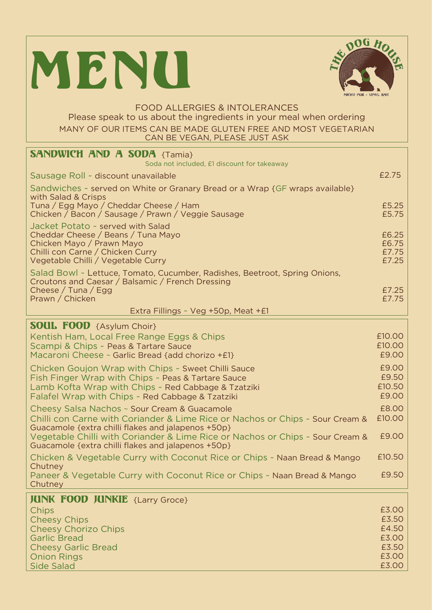



## FOOD ALLERGIES & INTOLERANCES<br>Please speak to us about the ingredients in your meal when ordering MANY OF OUR ITEMS CAN BE MADE GLUTEN FREE AND MOST VEGETARIAN MANY OF OCHELLE ITEMS CAN BE VEGAN. PLEASE JUST ASK CAN BE VEGAN, PLEASE JUST ASKEDD ASKEDD ASKEDD ASKEDD ASKEDD ASKEDD ASKEDD ASKEDD ASKEDD ASKEDD ASKEDD ASKEDD A

| <b>SANDWICH AND A SODA {Tamia}</b>                                                                                                                                                                                   |                                   |
|----------------------------------------------------------------------------------------------------------------------------------------------------------------------------------------------------------------------|-----------------------------------|
| Soda not included, £1 discount for takeaway                                                                                                                                                                          |                                   |
| Sausage Roll ~ discount unavailable                                                                                                                                                                                  | £2.75                             |
| Sandwiches ~ served on White or Granary Bread or a Wrap {GF wraps available}<br>with Salad & Crisps<br>Tuna / Egg Mayo / Cheddar Cheese / Ham<br>Chicken / Bacon / Sausage / Prawn / Veggie Sausage                  | £5.25<br>£5.75                    |
| Jacket Potato ~ served with Salad<br>Cheddar Cheese / Beans / Tuna Mayo<br>Chicken Mayo / Prawn Mayo<br>Chilli con Carne / Chicken Curry<br>Vegetable Chilli / Vegetable Curry                                       | £6.25<br>£6.75<br>£7.75<br>£7.25  |
| Salad Bowl ~ Lettuce, Tomato, Cucumber, Radishes, Beetroot, Spring Onions,<br>Croutons and Caesar / Balsamic / French Dressing<br>Cheese / Tuna / Egg<br>Prawn / Chicken                                             | £7.25<br>£7.75                    |
| Extra Fillings ~ Veg +50p, Meat +£1                                                                                                                                                                                  |                                   |
| <b>SOUL FOOD</b> {Asylum Choir}                                                                                                                                                                                      |                                   |
| Kentish Ham, Local Free Range Eggs & Chips<br>Scampi & Chips ~ Peas & Tartare Sauce<br>Macaroni Cheese ~ Garlic Bread {add chorizo +£1}                                                                              | £10.00<br>£10.00<br>£9.00         |
| Chicken Goujon Wrap with Chips ~ Sweet Chilli Sauce<br>Fish Finger Wrap with Chips ~ Peas & Tartare Sauce<br>Lamb Kofta Wrap with Chips ~ Red Cabbage & Tzatziki<br>Falafel Wrap with Chips ~ Red Cabbage & Tzatziki | £9.00<br>£9.50<br>£10.50<br>£9.00 |
| Cheesy Salsa Nachos ~ Sour Cream & Guacamole<br>Chilli con Carne with Coriander & Lime Rice or Nachos or Chips ~ Sour Cream &<br>Guacamole {extra chilli flakes and jalapenos +50p}                                  | £8.00<br>£10.00                   |
| Vegetable Chilli with Coriander & Lime Rice or Nachos or Chips ~ Sour Cream &<br>Guacamole {extra chilli flakes and jalapenos +50p}                                                                                  | £9.00                             |
| Chicken & Vegetable Curry with Coconut Rice or Chips ~ Naan Bread & Mango<br>Chutney                                                                                                                                 | £10.50                            |
| Paneer & Vegetable Curry with Coconut Rice or Chips - Naan Bread & Mango<br>Chutney                                                                                                                                  | £9.50                             |
| <b>JUNK FOOD JUNKIE</b> {Larry Groce}                                                                                                                                                                                |                                   |
| Chips                                                                                                                                                                                                                | £3.00                             |
| <b>Cheesy Chips</b>                                                                                                                                                                                                  | £3.50                             |
| <b>Cheesy Chorizo Chips</b><br><b>Garlic Bread</b>                                                                                                                                                                   | £4.50<br>£3.00                    |
| <b>Cheesy Garlic Bread</b>                                                                                                                                                                                           | £3.50                             |
| <b>Onion Rings</b>                                                                                                                                                                                                   | £3.00                             |
| <b>Side Salad</b>                                                                                                                                                                                                    | £3.00                             |